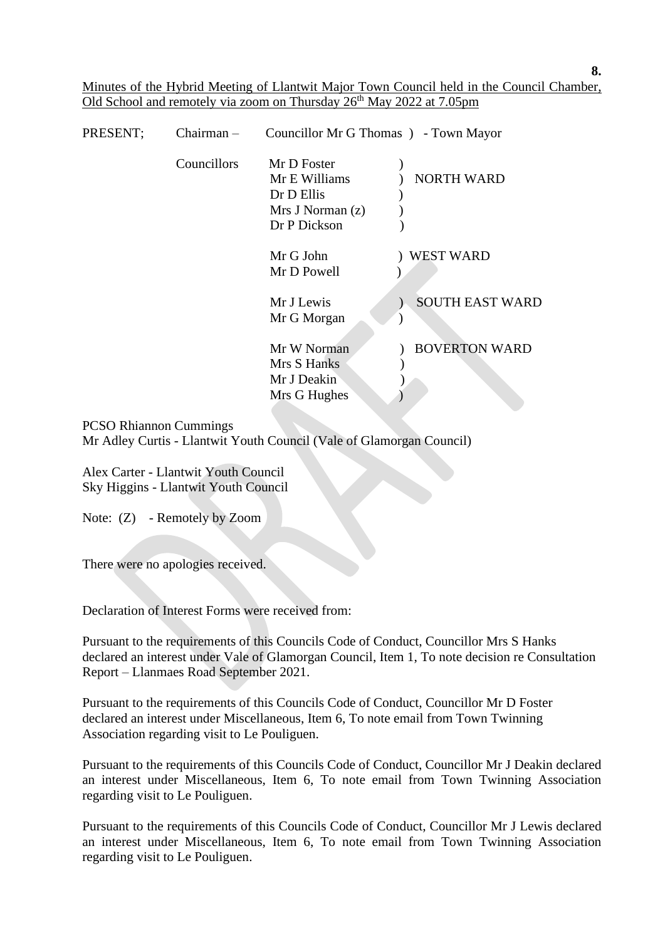Minutes of the Hybrid Meeting of Llantwit Major Town Council held in the Council Chamber, Old School and remotely via zoom on Thursday 26<sup>th</sup> May 2022 at 7.05pm

| PRESENT; | $Chairman -$ | Councillor Mr G Thomas ) - Town Mayor |                        |
|----------|--------------|---------------------------------------|------------------------|
|          | Councillors  | Mr D Foster                           |                        |
|          |              | Mr E Williams                         | <b>NORTH WARD</b>      |
|          |              | Dr D Ellis                            |                        |
|          |              | Mrs J Norman(z)                       |                        |
|          |              | Dr P Dickson                          |                        |
|          |              | Mr G John                             | <b>WEST WARD</b>       |
|          |              | Mr D Powell                           |                        |
|          |              | Mr J Lewis                            | <b>SOUTH EAST WARD</b> |
|          |              | Mr G Morgan                           |                        |
|          |              | Mr W Norman                           | <b>BOVERTON WARD</b>   |
|          |              | Mrs S Hanks                           |                        |
|          |              | Mr J Deakin                           |                        |
|          |              | Mrs G Hughes                          |                        |

#### PCSO Rhiannon Cummings

Mr Adley Curtis - Llantwit Youth Council (Vale of Glamorgan Council)

 Alex Carter - Llantwit Youth Council Sky Higgins - Llantwit Youth Council

Note: (Z) - Remotely by Zoom

There were no apologies received.

Declaration of Interest Forms were received from:

Pursuant to the requirements of this Councils Code of Conduct, Councillor Mrs S Hanks declared an interest under Vale of Glamorgan Council, Item 1, To note decision re Consultation Report – Llanmaes Road September 2021.

Pursuant to the requirements of this Councils Code of Conduct, Councillor Mr D Foster declared an interest under Miscellaneous, Item 6, To note email from Town Twinning Association regarding visit to Le Pouliguen.

 Pursuant to the requirements of this Councils Code of Conduct, Councillor Mr J Deakin declared an interest under Miscellaneous, Item 6, To note email from Town Twinning Association regarding visit to Le Pouliguen.

 Pursuant to the requirements of this Councils Code of Conduct, Councillor Mr J Lewis declared an interest under Miscellaneous, Item 6, To note email from Town Twinning Association regarding visit to Le Pouliguen.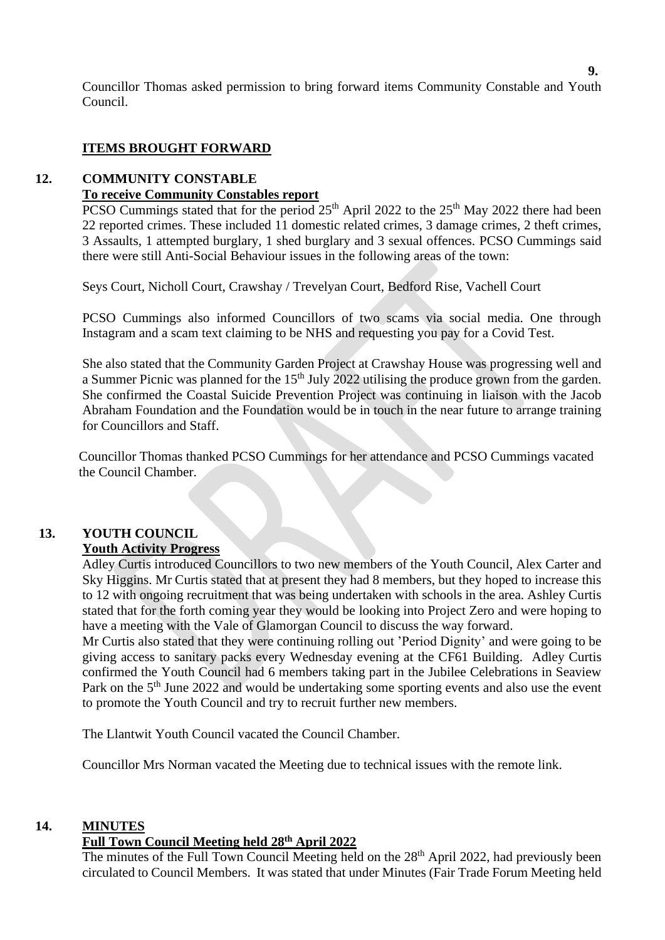**9.** Councillor Thomas asked permission to bring forward items Community Constable and Youth Council.

# **ITEMS BROUGHT FORWARD**

## **12. COMMUNITY CONSTABLE**

# **To receive Community Constables report**

PCSO Cummings stated that for the period 25<sup>th</sup> April 2022 to the 25<sup>th</sup> May 2022 there had been 22 reported crimes. These included 11 domestic related crimes, 3 damage crimes, 2 theft crimes, 3 Assaults, 1 attempted burglary, 1 shed burglary and 3 sexual offences. PCSO Cummings said there were still Anti-Social Behaviour issues in the following areas of the town:

Seys Court, Nicholl Court, Crawshay / Trevelyan Court, Bedford Rise, Vachell Court

 PCSO Cummings also informed Councillors of two scams via social media. One through Instagram and a scam text claiming to be NHS and requesting you pay for a Covid Test.

 She also stated that the Community Garden Project at Crawshay House was progressing well and a Summer Picnic was planned for the 15<sup>th</sup> July 2022 utilising the produce grown from the garden. She confirmed the Coastal Suicide Prevention Project was continuing in liaison with the Jacob Abraham Foundation and the Foundation would be in touch in the near future to arrange training for Councillors and Staff.

 Councillor Thomas thanked PCSO Cummings for her attendance and PCSO Cummings vacated the Council Chamber.

# **13. YOUTH COUNCIL**

# **Youth Activity Progress**

 Adley Curtis introduced Councillors to two new members of the Youth Council, Alex Carter and Sky Higgins. Mr Curtis stated that at present they had 8 members, but they hoped to increase this to 12 with ongoing recruitment that was being undertaken with schools in the area. Ashley Curtis stated that for the forth coming year they would be looking into Project Zero and were hoping to have a meeting with the Vale of Glamorgan Council to discuss the way forward.

 Mr Curtis also stated that they were continuing rolling out 'Period Dignity' and were going to be giving access to sanitary packs every Wednesday evening at the CF61 Building. Adley Curtis confirmed the Youth Council had 6 members taking part in the Jubilee Celebrations in Seaview Park on the 5<sup>th</sup> June 2022 and would be undertaking some sporting events and also use the event to promote the Youth Council and try to recruit further new members.

The Llantwit Youth Council vacated the Council Chamber.

Councillor Mrs Norman vacated the Meeting due to technical issues with the remote link.

# **14. MINUTES**

# **Full Town Council Meeting held 28th April 2022**

The minutes of the Full Town Council Meeting held on the 28<sup>th</sup> April 2022, had previously been circulated to Council Members. It was stated that under Minutes (Fair Trade Forum Meeting held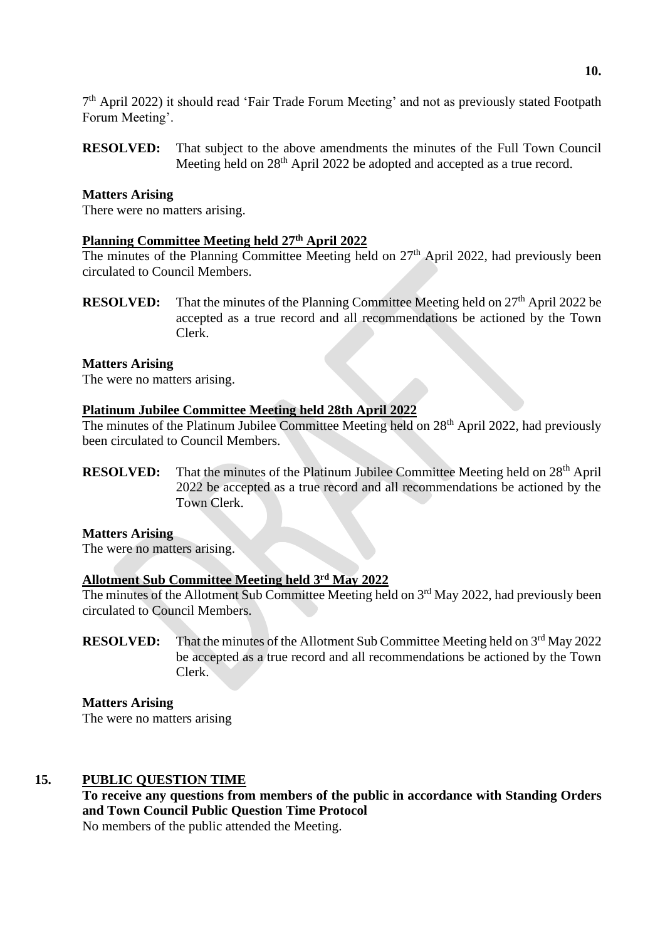7<sup>th</sup> April 2022) it should read 'Fair Trade Forum Meeting' and not as previously stated Footpath Forum Meeting'.

**RESOLVED:** That subject to the above amendments the minutes of the Full Town Council Meeting held on 28<sup>th</sup> April 2022 be adopted and accepted as a true record.

## **Matters Arising**

There were no matters arising.

# **Planning Committee Meeting held 27 th April 2022**

The minutes of the Planning Committee Meeting held on  $27<sup>th</sup>$  April 2022, had previously been circulated to Council Members.

**RESOLVED:** That the minutes of the Planning Committee Meeting held on 27<sup>th</sup> April 2022 be accepted as a true record and all recommendations be actioned by the Town Clerk.

#### **Matters Arising**

The were no matters arising.

# **Platinum Jubilee Committee Meeting held 28th April 2022**

The minutes of the Platinum Jubilee Committee Meeting held on  $28<sup>th</sup>$  April 2022, had previously been circulated to Council Members.

**RESOLVED:** That the minutes of the Platinum Jubilee Committee Meeting held on 28<sup>th</sup> April 2022 be accepted as a true record and all recommendations be actioned by the Town Clerk.

#### **Matters Arising**

The were no matters arising.

#### **Allotment Sub Committee Meeting held 3 rd May 2022**

The minutes of the Allotment Sub Committee Meeting held on  $3<sup>rd</sup>$  May 2022, had previously been circulated to Council Members.

**RESOLVED:** That the minutes of the Allotment Sub Committee Meeting held on 3<sup>rd</sup> May 2022 be accepted as a true record and all recommendations be actioned by the Town Clerk.

**Matters Arising** The were no matters arising

# **15. PUBLIC QUESTION TIME**

**To receive any questions from members of the public in accordance with Standing Orders and Town Council Public Question Time Protocol** No members of the public attended the Meeting.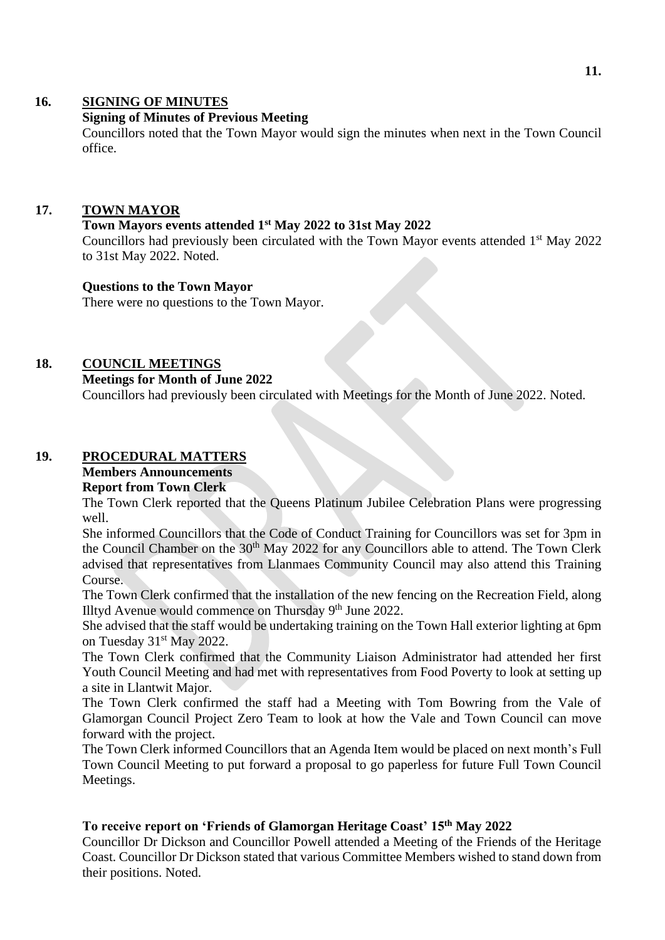# **16. SIGNING OF MINUTES**

# **Signing of Minutes of Previous Meeting**

Councillors noted that the Town Mayor would sign the minutes when next in the Town Council office.

## **17. TOWN MAYOR**

#### **Town Mayors events attended 1st May 2022 to 31st May 2022**

Councillors had previously been circulated with the Town Mayor events attended 1<sup>st</sup> May 2022 to 31st May 2022. Noted.

#### **Questions to the Town Mayor**

There were no questions to the Town Mayor.

# **18. COUNCIL MEETINGS**

#### **Meetings for Month of June 2022**

Councillors had previously been circulated with Meetings for the Month of June 2022. Noted.

# **19. PROCEDURAL MATTERS**

# **Members Announcements**

# **Report from Town Clerk**

The Town Clerk reported that the Queens Platinum Jubilee Celebration Plans were progressing well.

She informed Councillors that the Code of Conduct Training for Councillors was set for 3pm in the Council Chamber on the 30<sup>th</sup> May 2022 for any Councillors able to attend. The Town Clerk advised that representatives from Llanmaes Community Council may also attend this Training Course.

The Town Clerk confirmed that the installation of the new fencing on the Recreation Field, along Illtyd Avenue would commence on Thursday 9<sup>th</sup> June 2022.

She advised that the staff would be undertaking training on the Town Hall exterior lighting at 6pm on Tuesday 31<sup>st</sup> May 2022.

The Town Clerk confirmed that the Community Liaison Administrator had attended her first Youth Council Meeting and had met with representatives from Food Poverty to look at setting up a site in Llantwit Major.

The Town Clerk confirmed the staff had a Meeting with Tom Bowring from the Vale of Glamorgan Council Project Zero Team to look at how the Vale and Town Council can move forward with the project.

The Town Clerk informed Councillors that an Agenda Item would be placed on next month's Full Town Council Meeting to put forward a proposal to go paperless for future Full Town Council Meetings.

# **To receive report on 'Friends of Glamorgan Heritage Coast' 15th May 2022**

Councillor Dr Dickson and Councillor Powell attended a Meeting of the Friends of the Heritage Coast. Councillor Dr Dickson stated that various Committee Members wished to stand down from their positions. Noted.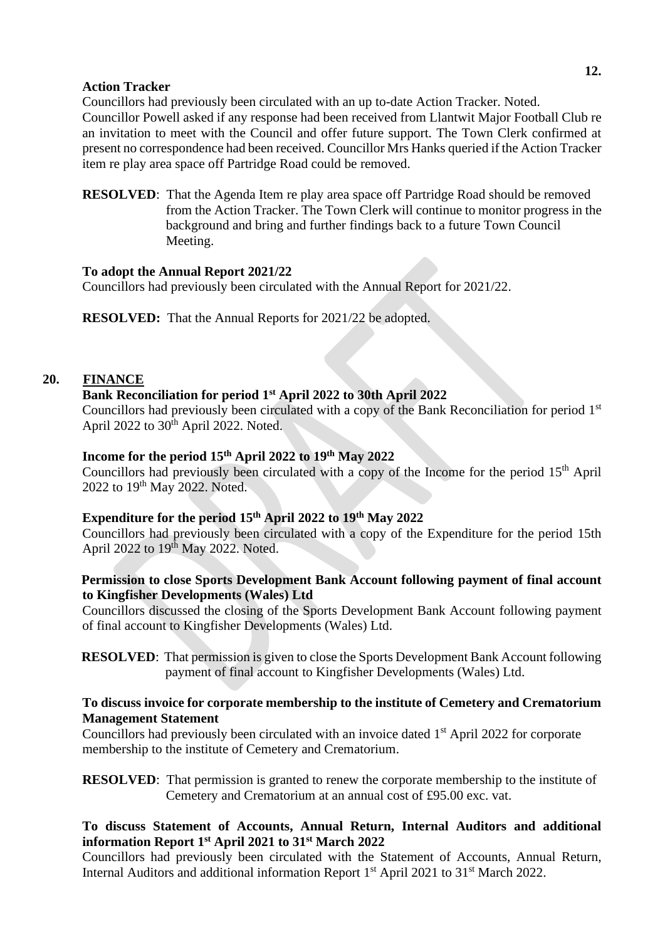# **12.**

#### **Action Tracker**

Councillors had previously been circulated with an up to-date Action Tracker. Noted. Councillor Powell asked if any response had been received from Llantwit Major Football Club re an invitation to meet with the Council and offer future support. The Town Clerk confirmed at present no correspondence had been received. Councillor Mrs Hanks queried if the Action Tracker item re play area space off Partridge Road could be removed.

**RESOLVED**: That the Agenda Item re play area space off Partridge Road should be removed from the Action Tracker. The Town Clerk will continue to monitor progress in the background and bring and further findings back to a future Town Council Meeting.

# **To adopt the Annual Report 2021/22**

Councillors had previously been circulated with the Annual Report for 2021/22.

**RESOLVED:** That the Annual Reports for 2021/22 be adopted.

# **20. FINANCE**

#### **Bank Reconciliation for period 1st April 2022 to 30th April 2022**

Councillors had previously been circulated with a copy of the Bank Reconciliation for period 1st April 2022 to 30<sup>th</sup> April 2022. Noted.

# **Income for the period 15th April 2022 to 19 th May 2022**

Councillors had previously been circulated with a copy of the Income for the period 15th April 2022 to 19<sup>th</sup> May 2022. Noted.

### **Expenditure for the period 15th April 2022 to 19 th May 2022**

Councillors had previously been circulated with a copy of the Expenditure for the period 15th April 2022 to 19<sup>th</sup> May 2022. Noted.

## **Permission to close Sports Development Bank Account following payment of final account to Kingfisher Developments (Wales) Ltd**

Councillors discussed the closing of the Sports Development Bank Account following payment of final account to Kingfisher Developments (Wales) Ltd.

**RESOLVED:** That permission is given to close the Sports Development Bank Account following payment of final account to Kingfisher Developments (Wales) Ltd.

## **To discuss invoice for corporate membership to the institute of Cemetery and Crematorium Management Statement**

Councillors had previously been circulated with an invoice dated 1<sup>st</sup> April 2022 for corporate membership to the institute of Cemetery and Crematorium.

**RESOLVED:** That permission is granted to renew the corporate membership to the institute of Cemetery and Crematorium at an annual cost of £95.00 exc. vat.

## **To discuss Statement of Accounts, Annual Return, Internal Auditors and additional information Report 1st April 2021 to 31st March 2022**

Councillors had previously been circulated with the Statement of Accounts, Annual Return, Internal Auditors and additional information Report 1<sup>st</sup> April 2021 to 31<sup>st</sup> March 2022.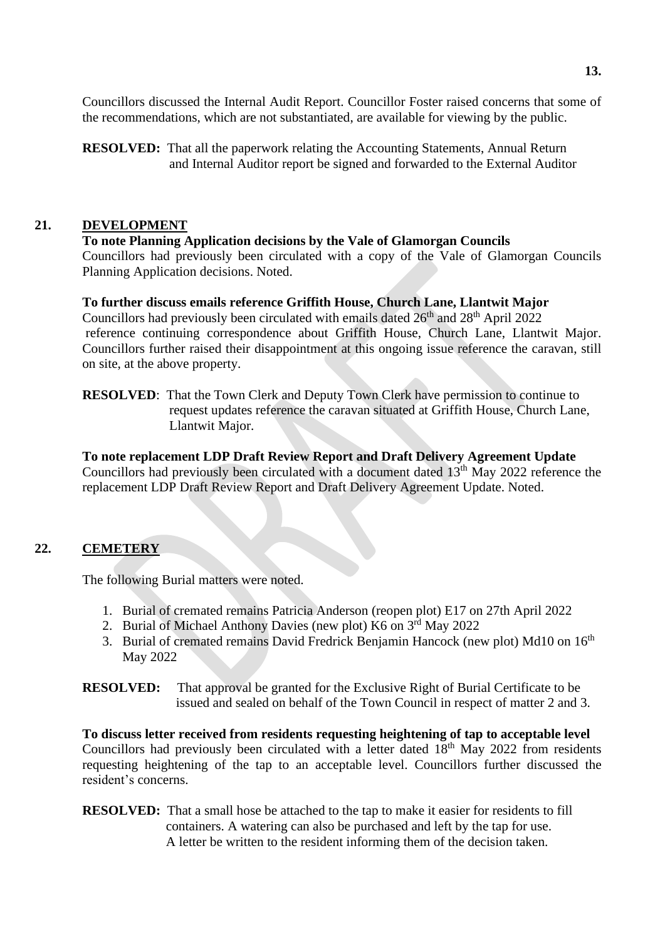Councillors discussed the Internal Audit Report. Councillor Foster raised concerns that some of the recommendations, which are not substantiated, are available for viewing by the public.

**RESOLVED:** That all the paperwork relating the Accounting Statements, Annual Return and Internal Auditor report be signed and forwarded to the External Auditor

# **21. DEVELOPMENT**

#### **To note Planning Application decisions by the Vale of Glamorgan Councils**

Councillors had previously been circulated with a copy of the Vale of Glamorgan Councils Planning Application decisions. Noted.

## **To further discuss emails reference Griffith House, Church Lane, Llantwit Major**

Councillors had previously been circulated with emails dated 26<sup>th</sup> and 28<sup>th</sup> April 2022 reference continuing correspondence about Griffith House, Church Lane, Llantwit Major. Councillors further raised their disappointment at this ongoing issue reference the caravan, still on site, at the above property.

**RESOLVED:** That the Town Clerk and Deputy Town Clerk have permission to continue to request updates reference the caravan situated at Griffith House, Church Lane, Llantwit Major.

# **To note replacement LDP Draft Review Report and Draft Delivery Agreement Update**

Councillors had previously been circulated with a document dated  $13<sup>th</sup>$  May 2022 reference the replacement LDP Draft Review Report and Draft Delivery Agreement Update. Noted.

# **22. CEMETERY**

The following Burial matters were noted.

- 1. Burial of cremated remains Patricia Anderson (reopen plot) E17 on 27th April 2022
- 2. Burial of Michael Anthony Davies (new plot) K6 on 3rd May 2022
- 3. Burial of cremated remains David Fredrick Benjamin Hancock (new plot) Md10 on 16<sup>th</sup> May 2022

#### **RESOLVED:** That approval be granted for the Exclusive Right of Burial Certificate to be issued and sealed on behalf of the Town Council in respect of matter 2 and 3.

**To discuss letter received from residents requesting heightening of tap to acceptable level**  Councillors had previously been circulated with a letter dated 18th May 2022 from residents requesting heightening of the tap to an acceptable level. Councillors further discussed the resident's concerns.

**RESOLVED:** That a small hose be attached to the tap to make it easier for residents to fill containers. A watering can also be purchased and left by the tap for use. A letter be written to the resident informing them of the decision taken.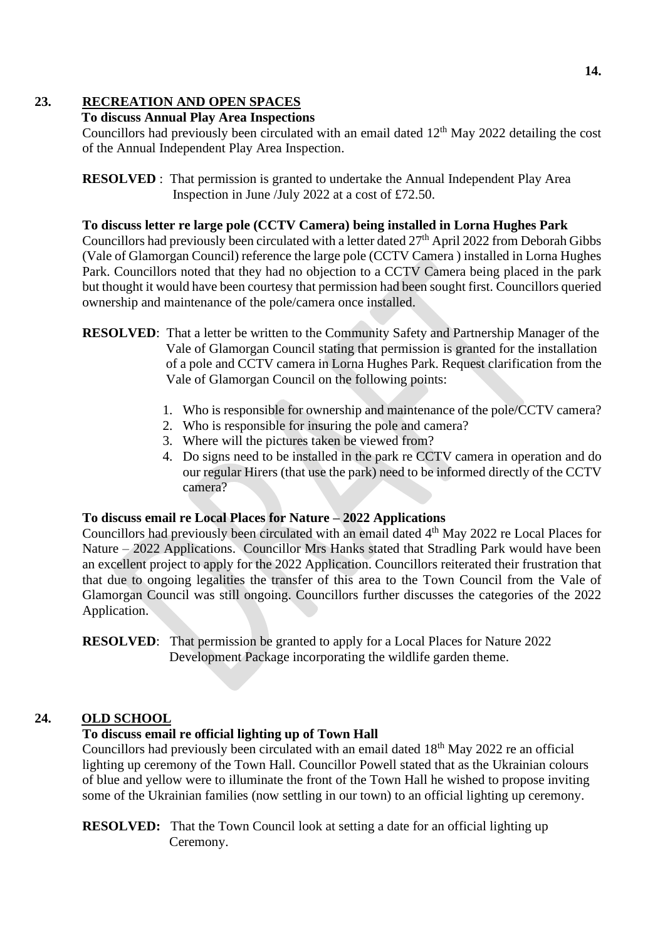# **23. RECREATION AND OPEN SPACES**

# **To discuss Annual Play Area Inspections**

Councillors had previously been circulated with an email dated  $12<sup>th</sup>$  May 2022 detailing the cost of the Annual Independent Play Area Inspection.

**RESOLVED** : That permission is granted to undertake the Annual Independent Play Area Inspection in June /July 2022 at a cost of £72.50.

#### **To discuss letter re large pole (CCTV Camera) being installed in Lorna Hughes Park**

Councillors had previously been circulated with a letter dated 27<sup>th</sup> April 2022 from Deborah Gibbs (Vale of Glamorgan Council) reference the large pole (CCTV Camera ) installed in Lorna Hughes Park. Councillors noted that they had no objection to a CCTV Camera being placed in the park but thought it would have been courtesy that permission had been sought first. Councillors queried ownership and maintenance of the pole/camera once installed.

- **RESOLVED**: That a letter be written to the Community Safety and Partnership Manager of the Vale of Glamorgan Council stating that permission is granted for the installation of a pole and CCTV camera in Lorna Hughes Park. Request clarification from the Vale of Glamorgan Council on the following points:
	- 1. Who is responsible for ownership and maintenance of the pole/CCTV camera?
	- 2. Who is responsible for insuring the pole and camera?
	- 3. Where will the pictures taken be viewed from?
	- 4. Do signs need to be installed in the park re CCTV camera in operation and do our regular Hirers (that use the park) need to be informed directly of the CCTV camera?

# **To discuss email re Local Places for Nature – 2022 Applications**

Councillors had previously been circulated with an email dated 4<sup>th</sup> May 2022 re Local Places for Nature – 2022 Applications. Councillor Mrs Hanks stated that Stradling Park would have been an excellent project to apply for the 2022 Application. Councillors reiterated their frustration that that due to ongoing legalities the transfer of this area to the Town Council from the Vale of Glamorgan Council was still ongoing. Councillors further discusses the categories of the 2022 Application.

**RESOLVED:** That permission be granted to apply for a Local Places for Nature 2022 Development Package incorporating the wildlife garden theme.

# **24. OLD SCHOOL**

# **To discuss email re official lighting up of Town Hall**

Councillors had previously been circulated with an email dated 18<sup>th</sup> May 2022 re an official lighting up ceremony of the Town Hall. Councillor Powell stated that as the Ukrainian colours of blue and yellow were to illuminate the front of the Town Hall he wished to propose inviting some of the Ukrainian families (now settling in our town) to an official lighting up ceremony.

**RESOLVED:** That the Town Council look at setting a date for an official lighting up Ceremony.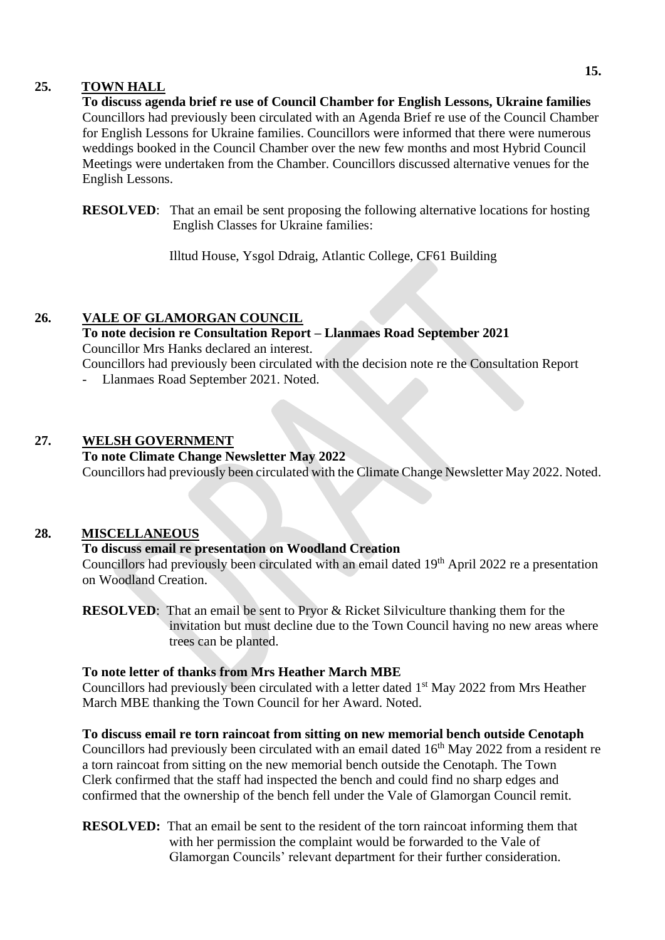## **25. TOWN HALL**

**To discuss agenda brief re use of Council Chamber for English Lessons, Ukraine families** Councillors had previously been circulated with an Agenda Brief re use of the Council Chamber for English Lessons for Ukraine families. Councillors were informed that there were numerous weddings booked in the Council Chamber over the new few months and most Hybrid Council Meetings were undertaken from the Chamber. Councillors discussed alternative venues for the English Lessons.

**RESOLVED:** That an email be sent proposing the following alternative locations for hosting English Classes for Ukraine families:

Illtud House, Ysgol Ddraig, Atlantic College, CF61 Building

# **26. VALE OF GLAMORGAN COUNCIL**

# **To note decision re Consultation Report – Llanmaes Road September 2021**

Councillor Mrs Hanks declared an interest.

Councillors had previously been circulated with the decision note re the Consultation Report

Llanmaes Road September 2021. Noted.

# **27. WELSH GOVERNMENT**

#### **To note Climate Change Newsletter May 2022**

Councillors had previously been circulated with the Climate Change Newsletter May 2022. Noted.

#### **28. MISCELLANEOUS**

# **To discuss email re presentation on Woodland Creation**

Councillors had previously been circulated with an email dated 19<sup>th</sup> April 2022 re a presentation on Woodland Creation.

**RESOLVED:** That an email be sent to Pryor & Ricket Silviculture thanking them for the invitation but must decline due to the Town Council having no new areas where trees can be planted.

# **To note letter of thanks from Mrs Heather March MBE**

Councillors had previously been circulated with a letter dated 1<sup>st</sup> May 2022 from Mrs Heather March MBE thanking the Town Council for her Award. Noted.

**To discuss email re torn raincoat from sitting on new memorial bench outside Cenotaph**  Councillors had previously been circulated with an email dated 16<sup>th</sup> May 2022 from a resident re

a torn raincoat from sitting on the new memorial bench outside the Cenotaph. The Town Clerk confirmed that the staff had inspected the bench and could find no sharp edges and confirmed that the ownership of the bench fell under the Vale of Glamorgan Council remit.

**RESOLVED:** That an email be sent to the resident of the torn raincoat informing them that with her permission the complaint would be forwarded to the Vale of Glamorgan Councils' relevant department for their further consideration.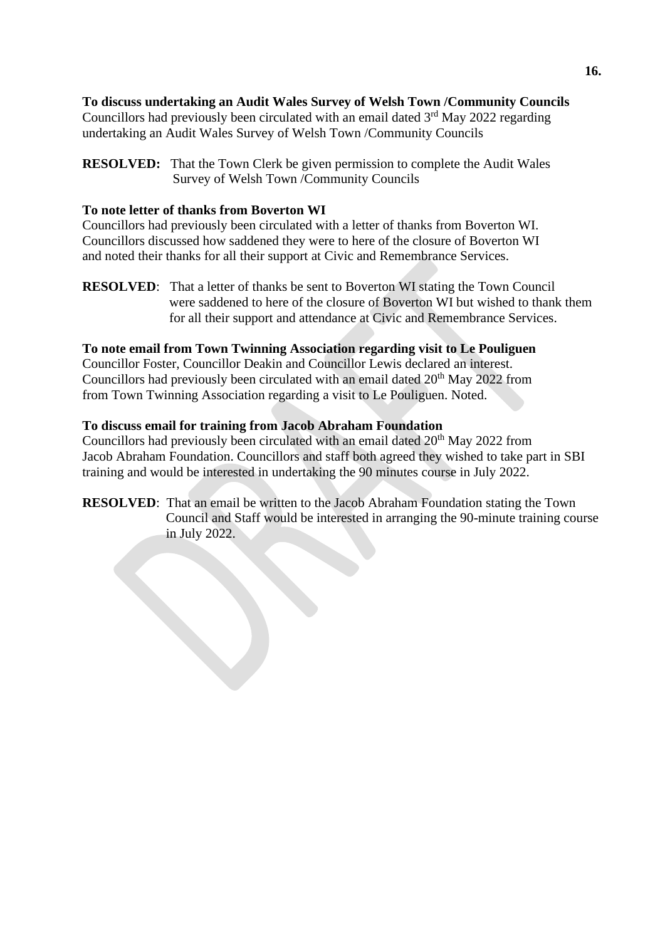# **To discuss undertaking an Audit Wales Survey of Welsh Town /Community Councils**

Councillors had previously been circulated with an email dated  $3<sup>rd</sup>$  May 2022 regarding undertaking an Audit Wales Survey of Welsh Town /Community Councils

# **To note letter of thanks from Boverton WI**

Councillors had previously been circulated with a letter of thanks from Boverton WI. Councillors discussed how saddened they were to here of the closure of Boverton WI and noted their thanks for all their support at Civic and Remembrance Services.

**RESOLVED**: That a letter of thanks be sent to Boverton WI stating the Town Council were saddened to here of the closure of Boverton WI but wished to thank them for all their support and attendance at Civic and Remembrance Services.

# **To note email from Town Twinning Association regarding visit to Le Pouliguen**

Councillor Foster, Councillor Deakin and Councillor Lewis declared an interest. Councillors had previously been circulated with an email dated  $20<sup>th</sup>$  May 2022 from from Town Twinning Association regarding a visit to Le Pouliguen. Noted.

# **To discuss email for training from Jacob Abraham Foundation**

Councillors had previously been circulated with an email dated  $20<sup>th</sup>$  May 2022 from Jacob Abraham Foundation. Councillors and staff both agreed they wished to take part in SBI training and would be interested in undertaking the 90 minutes course in July 2022.

**RESOLVED**: That an email be written to the Jacob Abraham Foundation stating the Town Council and Staff would be interested in arranging the 90-minute training course in July 2022.

**RESOLVED:** That the Town Clerk be given permission to complete the Audit Wales Survey of Welsh Town /Community Councils